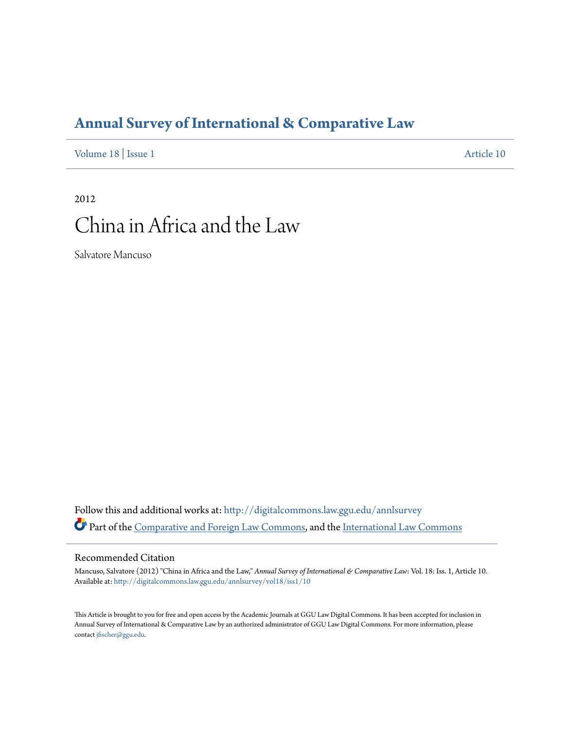# **[Annual Survey of International & Comparative Law](http://digitalcommons.law.ggu.edu/annlsurvey?utm_source=digitalcommons.law.ggu.edu%2Fannlsurvey%2Fvol18%2Fiss1%2F10&utm_medium=PDF&utm_campaign=PDFCoverPages)**

[Volume 18](http://digitalcommons.law.ggu.edu/annlsurvey/vol18?utm_source=digitalcommons.law.ggu.edu%2Fannlsurvey%2Fvol18%2Fiss1%2F10&utm_medium=PDF&utm_campaign=PDFCoverPages) | [Issue 1](http://digitalcommons.law.ggu.edu/annlsurvey/vol18/iss1?utm_source=digitalcommons.law.ggu.edu%2Fannlsurvey%2Fvol18%2Fiss1%2F10&utm_medium=PDF&utm_campaign=PDFCoverPages) [Article 10](http://digitalcommons.law.ggu.edu/annlsurvey/vol18/iss1/10?utm_source=digitalcommons.law.ggu.edu%2Fannlsurvey%2Fvol18%2Fiss1%2F10&utm_medium=PDF&utm_campaign=PDFCoverPages)

# 2012 China in Africa and the Law

Salvatore Mancuso

Follow this and additional works at: [http://digitalcommons.law.ggu.edu/annlsurvey](http://digitalcommons.law.ggu.edu/annlsurvey?utm_source=digitalcommons.law.ggu.edu%2Fannlsurvey%2Fvol18%2Fiss1%2F10&utm_medium=PDF&utm_campaign=PDFCoverPages) Part of the [Comparative and Foreign Law Commons](http://network.bepress.com/hgg/discipline/836?utm_source=digitalcommons.law.ggu.edu%2Fannlsurvey%2Fvol18%2Fiss1%2F10&utm_medium=PDF&utm_campaign=PDFCoverPages), and the [International Law Commons](http://network.bepress.com/hgg/discipline/609?utm_source=digitalcommons.law.ggu.edu%2Fannlsurvey%2Fvol18%2Fiss1%2F10&utm_medium=PDF&utm_campaign=PDFCoverPages)

# Recommended Citation

Mancuso, Salvatore (2012) "China in Africa and the Law," *Annual Survey of International & Comparative Law*: Vol. 18: Iss. 1, Article 10. Available at: [http://digitalcommons.law.ggu.edu/annlsurvey/vol18/iss1/10](http://digitalcommons.law.ggu.edu/annlsurvey/vol18/iss1/10?utm_source=digitalcommons.law.ggu.edu%2Fannlsurvey%2Fvol18%2Fiss1%2F10&utm_medium=PDF&utm_campaign=PDFCoverPages)

This Article is brought to you for free and open access by the Academic Journals at GGU Law Digital Commons. It has been accepted for inclusion in Annual Survey of International & Comparative Law by an authorized administrator of GGU Law Digital Commons. For more information, please contact [jfischer@ggu.edu.](mailto:jfischer@ggu.edu)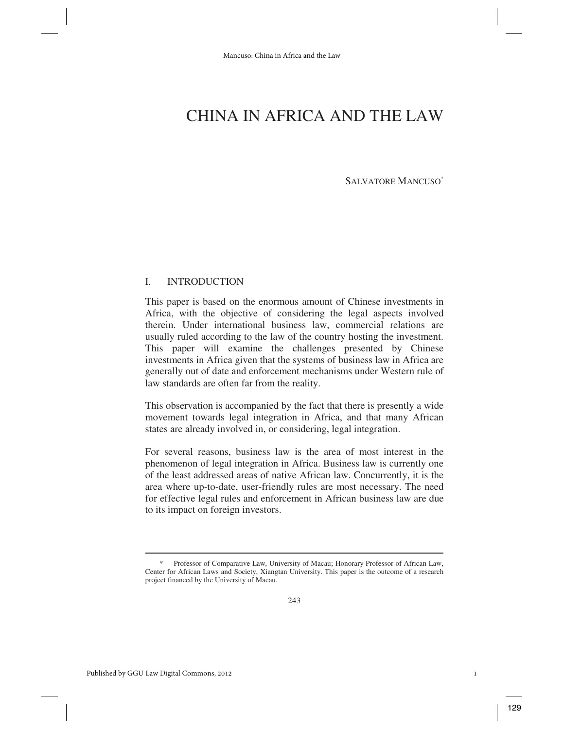SALVATORE MANCUSO\*

## I. INTRODUCTION

This paper is based on the enormous amount of Chinese investments in Africa, with the objective of considering the legal aspects involved therein. Under international business law, commercial relations are usually ruled according to the law of the country hosting the investment. This paper will examine the challenges presented by Chinese investments in Africa given that the systems of business law in Africa are generally out of date and enforcement mechanisms under Western rule of law standards are often far from the reality.

This observation is accompanied by the fact that there is presently a wide movement towards legal integration in Africa, and that many African states are already involved in, or considering, legal integration.

For several reasons, business law is the area of most interest in the phenomenon of legal integration in Africa. Business law is currently one of the least addressed areas of native African law. Concurrently, it is the area where up-to-date, user-friendly rules are most necessary. The need for effective legal rules and enforcement in African business law are due to its impact on foreign investors.

Professor of Comparative Law, University of Macau; Honorary Professor of African Law, Center for African Laws and Society, Xiangtan University. This paper is the outcome of a research project financed by the University of Macau.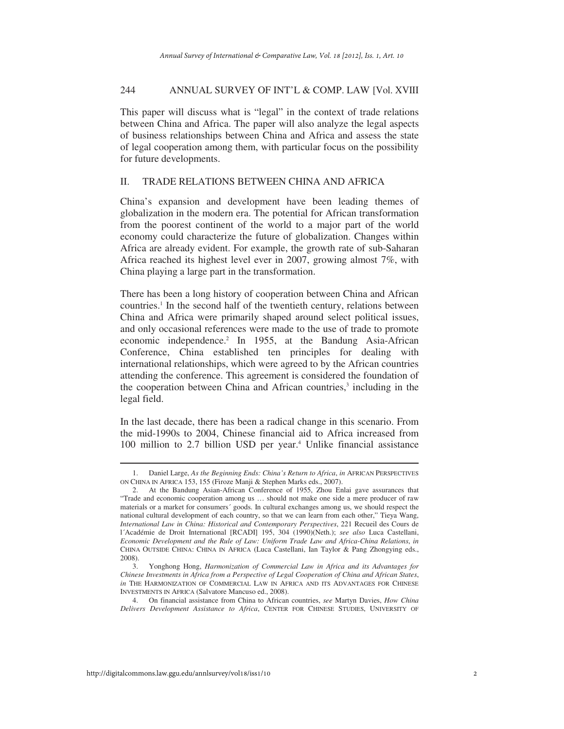This paper will discuss what is "legal" in the context of trade relations between China and Africa. The paper will also analyze the legal aspects of business relationships between China and Africa and assess the state of legal cooperation among them, with particular focus on the possibility for future developments.

# II. TRADE RELATIONS BETWEEN CHINA AND AFRICA

China's expansion and development have been leading themes of globalization in the modern era. The potential for African transformation from the poorest continent of the world to a major part of the world economy could characterize the future of globalization. Changes within Africa are already evident. For example, the growth rate of sub-Saharan Africa reached its highest level ever in 2007, growing almost 7%, with China playing a large part in the transformation.

There has been a long history of cooperation between China and African countries.<sup>1</sup> In the second half of the twentieth century, relations between China and Africa were primarily shaped around select political issues, and only occasional references were made to the use of trade to promote economic independence.<sup>2</sup> In 1955, at the Bandung Asia-African Conference, China established ten principles for dealing with international relationships, which were agreed to by the African countries attending the conference. This agreement is considered the foundation of the cooperation between China and African countries,<sup>3</sup> including in the legal field.

In the last decade, there has been a radical change in this scenario. From the mid-1990s to 2004, Chinese financial aid to Africa increased from 100 million to 2.7 billion USD per year.<sup>4</sup> Unlike financial assistance

 <sup>1.</sup> Daniel Large, *As the Beginning Ends: China's Return to Africa*, *in* AFRICAN PERSPECTIVES ON CHINA IN AFRICA 153, 155 (Firoze Manji & Stephen Marks eds., 2007).

 <sup>2.</sup> At the Bandung Asian-African Conference of 1955, Zhou Enlai gave assurances that "Trade and economic cooperation among us … should not make one side a mere producer of raw materials or a market for consumers´ goods. In cultural exchanges among us, we should respect the national cultural development of each country, so that we can learn from each other," Tieya Wang, *International Law in China: Historical and Contemporary Perspectives*, 221 Recueil des Cours de l´Académie de Droit International [RCADI] 195, 304 (1990)(Neth.); *see also* Luca Castellani, *Economic Development and the Rule of Law: Uniform Trade Law and Africa-China Relations*, *in* CHINA OUTSIDE CHINA: CHINA IN AFRICA (Luca Castellani, Ian Taylor & Pang Zhongying eds., 2008).

 <sup>3.</sup> Yonghong Hong, *Harmonization of Commercial Law in Africa and its Advantages for Chinese Investments in Africa from a Perspective of Legal Cooperation of China and African States*, *in* THE HARMONIZATION OF COMMERCIAL LAW IN AFRICA AND ITS ADVANTAGES FOR CHINESE INVESTMENTS IN AFRICA (Salvatore Mancuso ed., 2008).

 <sup>4.</sup> On financial assistance from China to African countries, *see* Martyn Davies, *How China Delivers Development Assistance to Africa*, CENTER FOR CHINESE STUDIES, UNIVERSITY OF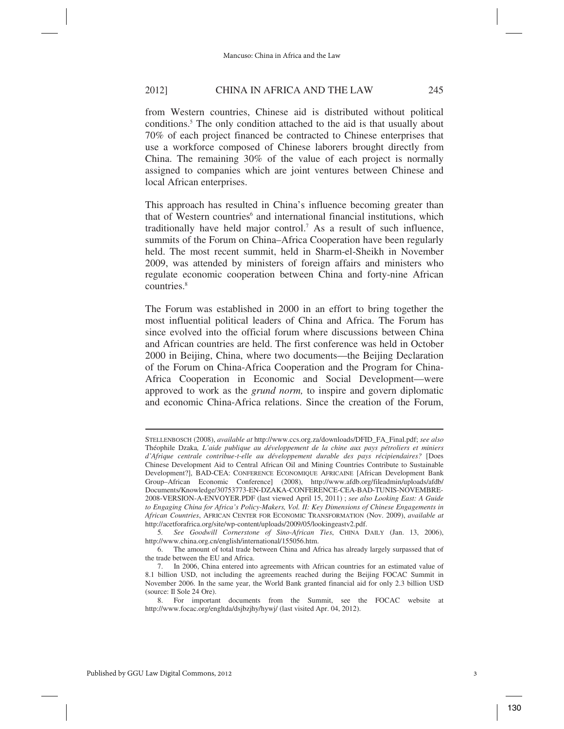from Western countries, Chinese aid is distributed without political conditions.5 The only condition attached to the aid is that usually about 70% of each project financed be contracted to Chinese enterprises that use a workforce composed of Chinese laborers brought directly from China. The remaining 30% of the value of each project is normally assigned to companies which are joint ventures between Chinese and local African enterprises.

This approach has resulted in China's influence becoming greater than that of Western countries<sup>6</sup> and international financial institutions, which traditionally have held major control.7 As a result of such influence, summits of the Forum on China–Africa Cooperation have been regularly held. The most recent summit, held in Sharm-el-Sheikh in November 2009, was attended by ministers of foreign affairs and ministers who regulate economic cooperation between China and forty-nine African countries.<sup>8</sup>

The Forum was established in 2000 in an effort to bring together the most influential political leaders of China and Africa. The Forum has since evolved into the official forum where discussions between China and African countries are held. The first conference was held in October 2000 in Beijing, China, where two documents—the Beijing Declaration of the Forum on China-Africa Cooperation and the Program for China-Africa Cooperation in Economic and Social Development—were approved to work as the *grund norm,* to inspire and govern diplomatic and economic China-Africa relations. Since the creation of the Forum,

STELLENBOSCH (2008), *available at* http://www.ccs.org.za/downloads/DFID\_FA\_Final.pdf; *see also*  Théophile Dzaka*, L'aide publique au développement de la chine aux pays pétroliers et miniers d'Afrique centrale contribue-t-elle au développement durable des pays récipiendaires?* [Does Chinese Development Aid to Central African Oil and Mining Countries Contribute to Sustainable Development?], BAD-CEA: CONFERENCE ECONOMIQUE AFRICAINE [African Development Bank Group–African Economic Conference] (2008), http://www.afdb.org/fileadmin/uploads/afdb/ Documents/Knowledge/30753773-EN-DZAKA-CONFERENCE-CEA-BAD-TUNIS-NOVEMBRE-2008-VERSION-A-ENVOYER.PDF (last viewed April 15, 2011) ; *see also Looking East: A Guide to Engaging China for Africa's Policy-Makers, Vol. II: Key Dimensions of Chinese Engagements in African Countries*, AFRICAN CENTER FOR ECONOMIC TRANSFORMATION (Nov. 2009), *available at* http://acetforafrica.org/site/wp-content/uploads/2009/05/lookingeastv2.pdf.

 <sup>5</sup>*. See Goodwill Cornerstone of Sino-African Ties*, CHINA DAILY (Jan. 13, 2006), http://www.china.org.cn/english/international/155056.htm.

 <sup>6.</sup> The amount of total trade between China and Africa has already largely surpassed that of the trade between the EU and Africa.

 <sup>7.</sup> In 2006, China entered into agreements with African countries for an estimated value of 8.1 billion USD, not including the agreements reached during the Beijing FOCAC Summit in November 2006. In the same year, the World Bank granted financial aid for only 2.3 billion USD (source: Il Sole 24 Ore).

 <sup>8.</sup> For important documents from the Summit, see the FOCAC website at http://www.focac.org/engltda/dsjbzjhy/hywj/ (last visited Apr. 04, 2012).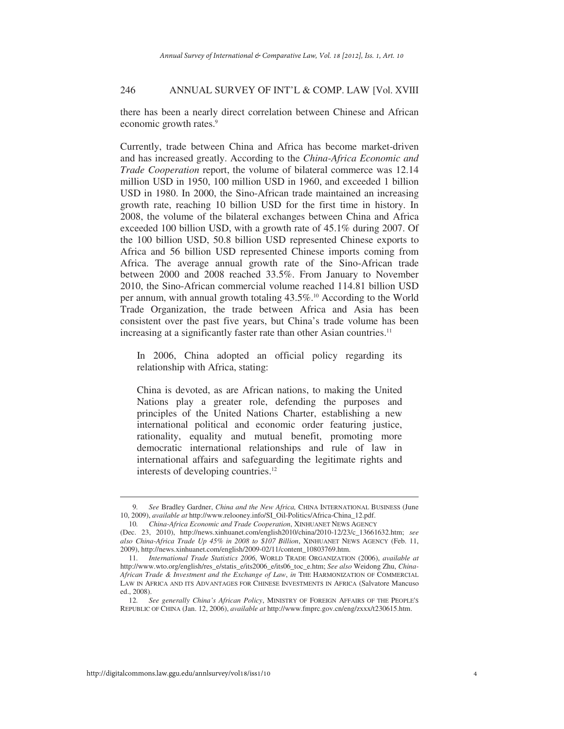there has been a nearly direct correlation between Chinese and African economic growth rates.<sup>9</sup>

Currently, trade between China and Africa has become market-driven and has increased greatly. According to the *China-Africa Economic and Trade Cooperation* report, the volume of bilateral commerce was 12.14 million USD in 1950, 100 million USD in 1960, and exceeded 1 billion USD in 1980. In 2000, the Sino-African trade maintained an increasing growth rate, reaching 10 billion USD for the first time in history. In 2008, the volume of the bilateral exchanges between China and Africa exceeded 100 billion USD, with a growth rate of 45.1% during 2007. Of the 100 billion USD, 50.8 billion USD represented Chinese exports to Africa and 56 billion USD represented Chinese imports coming from Africa. The average annual growth rate of the Sino-African trade between 2000 and 2008 reached 33.5%. From January to November 2010, the Sino-African commercial volume reached 114.81 billion USD per annum, with annual growth totaling 43.5%.<sup>10</sup> According to the World Trade Organization, the trade between Africa and Asia has been consistent over the past five years, but China's trade volume has been increasing at a significantly faster rate than other Asian countries.<sup>11</sup>

In 2006, China adopted an official policy regarding its relationship with Africa, stating:

China is devoted, as are African nations, to making the United Nations play a greater role, defending the purposes and principles of the United Nations Charter, establishing a new international political and economic order featuring justice, rationality, equality and mutual benefit, promoting more democratic international relationships and rule of law in international affairs and safeguarding the legitimate rights and interests of developing countries.<sup>12</sup>

 <sup>9</sup>*. See* Bradley Gardner, *China and the New Africa,* CHINA INTERNATIONAL BUSINESS (June 10, 2009), *available at* http://www.relooney.info/SI\_Oil-Politics/Africa-China\_12.pdf.

 <sup>10</sup>*. China-Africa Economic and Trade Cooperation*, XINHUANET NEWS AGENCY

<sup>(</sup>Dec. 23, 2010), http://news.xinhuanet.com/english2010/china/2010-12/23/c\_13661632.htm; *see also China-Africa Trade Up 45% in 2008 to \$107 Billion*, XINHUANET NEWS AGENCY (Feb. 11, 2009), http://news.xinhuanet.com/english/2009-02/11/content\_10803769.htm.

 <sup>11</sup>*. International Trade Statistics 2006*, WORLD TRADE ORGANIZATION (2006), *available at* http://www.wto.org/english/res\_e/statis\_e/its2006\_e/its06\_toc\_e.htm; *See also* Weidong Zhu, *China-African Trade & Investment and the Exchange of Law*, *in* THE HARMONIZATION OF COMMERCIAL LAW IN AFRICA AND ITS ADVANTAGES FOR CHINESE INVESTMENTS IN AFRICA (Salvatore Mancuso ed., 2008).

 <sup>12</sup>*. See generally China's African Policy*, MINISTRY OF FOREIGN AFFAIRS OF THE PEOPLE'S REPUBLIC OF CHINA (Jan. 12, 2006), *available at* http://www.fmprc.gov.cn/eng/zxxx/t230615.htm.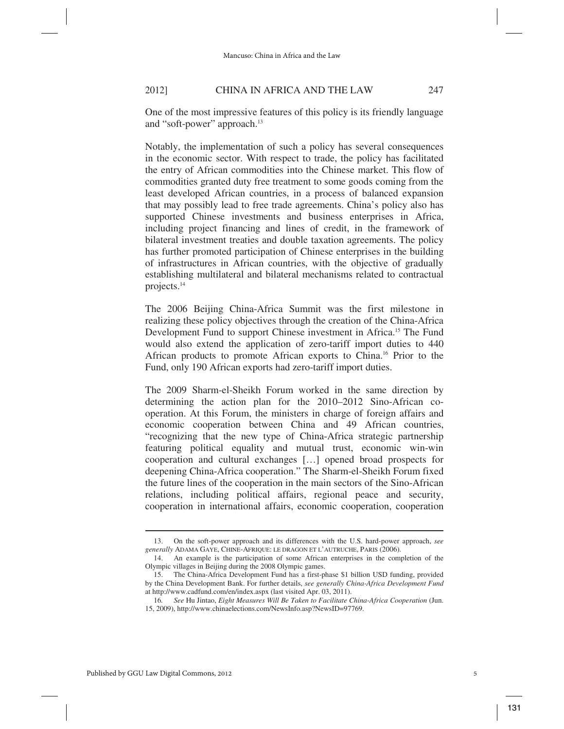One of the most impressive features of this policy is its friendly language and "soft-power" approach.<sup>13</sup>

Notably, the implementation of such a policy has several consequences in the economic sector. With respect to trade, the policy has facilitated the entry of African commodities into the Chinese market. This flow of commodities granted duty free treatment to some goods coming from the least developed African countries, in a process of balanced expansion that may possibly lead to free trade agreements. China's policy also has supported Chinese investments and business enterprises in Africa, including project financing and lines of credit, in the framework of bilateral investment treaties and double taxation agreements. The policy has further promoted participation of Chinese enterprises in the building of infrastructures in African countries, with the objective of gradually establishing multilateral and bilateral mechanisms related to contractual projects.14

The 2006 Beijing China-Africa Summit was the first milestone in realizing these policy objectives through the creation of the China-Africa Development Fund to support Chinese investment in Africa.15 The Fund would also extend the application of zero-tariff import duties to 440 African products to promote African exports to China.16 Prior to the Fund, only 190 African exports had zero-tariff import duties.

The 2009 Sharm-el-Sheikh Forum worked in the same direction by determining the action plan for the 2010–2012 Sino-African cooperation. At this Forum, the ministers in charge of foreign affairs and economic cooperation between China and 49 African countries, "recognizing that the new type of China-Africa strategic partnership featuring political equality and mutual trust, economic win-win cooperation and cultural exchanges […] opened broad prospects for deepening China-Africa cooperation." The Sharm-el-Sheikh Forum fixed the future lines of the cooperation in the main sectors of the Sino-African relations, including political affairs, regional peace and security, cooperation in international affairs, economic cooperation, cooperation

 <sup>13.</sup> On the soft-power approach and its differences with the U.S. hard-power approach, *see generally* ADAMA GAYE, CHINE-AFRIQUE: LE DRAGON ET L'AUTRUCHE, PARIS (2006).

 <sup>14.</sup> An example is the participation of some African enterprises in the completion of the Olympic villages in Beijing during the 2008 Olympic games.

 <sup>15.</sup> The China-Africa Development Fund has a first-phase \$1 billion USD funding, provided by the China Development Bank. For further details, *see generally China-Africa Development Fund* at http://www.cadfund.com/en/index.aspx (last visited Apr. 03, 2011).

 <sup>16</sup>*. See* Hu Jintao, *Eight Measures Will Be Taken to Facilitate China-Africa Cooperation* (Jun. 15, 2009), http://www.chinaelections.com/NewsInfo.asp?NewsID=97769.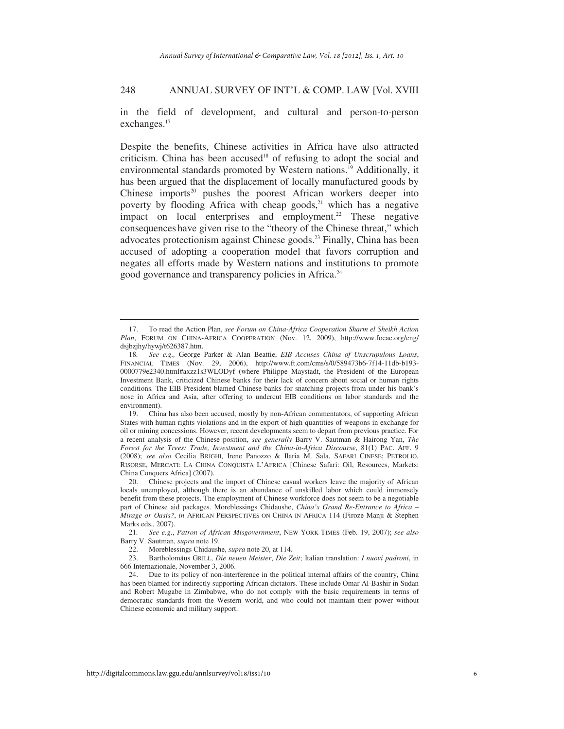in the field of development, and cultural and person-to-person exchanges.<sup>17</sup>

Despite the benefits, Chinese activities in Africa have also attracted criticism. China has been accused<sup>18</sup> of refusing to adopt the social and environmental standards promoted by Western nations.<sup>19</sup> Additionally, it has been argued that the displacement of locally manufactured goods by Chinese imports $20$  pushes the poorest African workers deeper into poverty by flooding Africa with cheap goods, $21$  which has a negative impact on local enterprises and employment.<sup>22</sup> These negative consequences have given rise to the "theory of the Chinese threat," which advocates protectionism against Chinese goods.23 Finally, China has been accused of adopting a cooperation model that favors corruption and negates all efforts made by Western nations and institutions to promote good governance and transparency policies in Africa.<sup>24</sup>

 19. China has also been accused, mostly by non-African commentators, of supporting African States with human rights violations and in the export of high quantities of weapons in exchange for oil or mining concessions. However, recent developments seem to depart from previous practice. For a recent analysis of the Chinese position, *see generally* Barry V. Sautman & Hairong Yan, *The Forest for the Trees: Trade, Investment and the China-in-Africa Discourse*, 81(1) PAC. AFF. 9 (2008); *see also* Cecilia BRIGHI, Irene Panozzo & Ilaria M. Sala, SAFARI CINESE: PETROLIO, RISORSE, MERCATI: LA CHINA CONQUISTA L'AFRICA [Chinese Safari: Oil, Resources, Markets: China Conquers Africa] (2007).

 20. Chinese projects and the import of Chinese casual workers leave the majority of African locals unemployed, although there is an abundance of unskilled labor which could immensely benefit from these projects. The employment of Chinese workforce does not seem to be a negotiable part of Chinese aid packages. Moreblessings Chidaushe, *China's Grand Re-Entrance to Africa – Mirage or Oasis?*, *in* AFRICAN PERSPECTIVES ON CHINA IN AFRICA 114 (Firoze Manji & Stephen Marks eds., 2007).

 21*. See e.g*., *Patron of African Misgovernment*, NEW YORK TIMES (Feb. 19, 2007); *see also* Barry V. Sautman, *supra* note 19.

22. Moreblessings Chidaushe, *supra* note 20, at 114.

 23. Bartholomäus GRILL, *Die neuen Meister*, *Die Zeit*; Italian translation: *I nuovi padroni*, in 666 Internazionale, November 3, 2006.

 24. Due to its policy of non-interference in the political internal affairs of the country, China has been blamed for indirectly supporting African dictators. These include Omar Al-Bashir in Sudan and Robert Mugabe in Zimbabwe, who do not comply with the basic requirements in terms of democratic standards from the Western world, and who could not maintain their power without Chinese economic and military support.

 <sup>17.</sup> To read the Action Plan, *see Forum on China-Africa Cooperation Sharm el Sheikh Action Plan*, FORUM ON CHINA-AFRICA COOPERATION (Nov. 12, 2009), http://www.focac.org/eng/ dsjbzjhy/hywj/t626387.htm.

 <sup>18</sup>*. See e.g.,* George Parker & Alan Beattie, *EIB Accuses China of Unscrupulous Loans*, FINANCIAL TIMES (Nov. 29, 2006), http://www.ft.com/cms/s/0/589473b6-7f14-11db-b193- 0000779e2340.html#axzz1s3WLODyf (where Philippe Maystadt, the President of the European Investment Bank, criticized Chinese banks for their lack of concern about social or human rights conditions. The EIB President blamed Chinese banks for snatching projects from under his bank's nose in Africa and Asia, after offering to undercut EIB conditions on labor standards and the environment).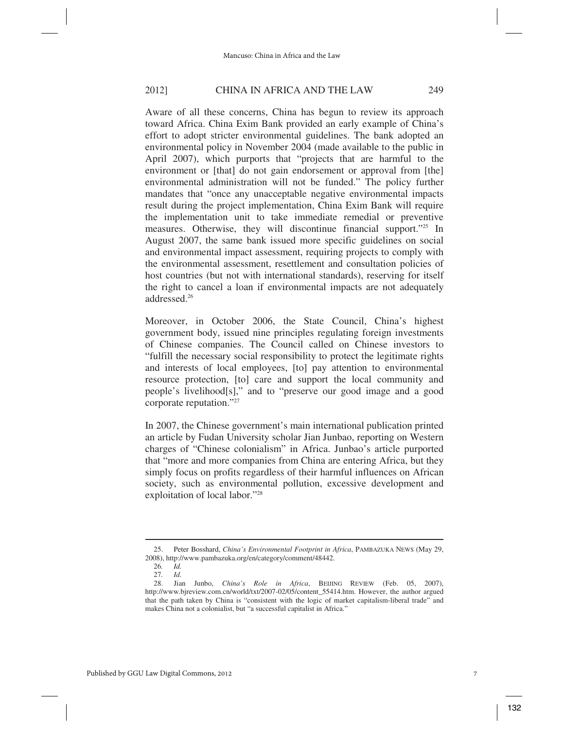Aware of all these concerns, China has begun to review its approach toward Africa. China Exim Bank provided an early example of China's effort to adopt stricter environmental guidelines. The bank adopted an environmental policy in November 2004 (made available to the public in April 2007), which purports that "projects that are harmful to the environment or [that] do not gain endorsement or approval from [the] environmental administration will not be funded." The policy further mandates that "once any unacceptable negative environmental impacts result during the project implementation, China Exim Bank will require the implementation unit to take immediate remedial or preventive measures. Otherwise, they will discontinue financial support."25 In August 2007, the same bank issued more specific guidelines on social and environmental impact assessment, requiring projects to comply with the environmental assessment, resettlement and consultation policies of host countries (but not with international standards), reserving for itself the right to cancel a loan if environmental impacts are not adequately addressed<sup>26</sup>

Moreover, in October 2006, the State Council, China's highest government body, issued nine principles regulating foreign investments of Chinese companies. The Council called on Chinese investors to "fulfill the necessary social responsibility to protect the legitimate rights and interests of local employees, [to] pay attention to environmental resource protection, [to] care and support the local community and people's livelihood[s]," and to "preserve our good image and a good corporate reputation."27

In 2007, the Chinese government's main international publication printed an article by Fudan University scholar Jian Junbao, reporting on Western charges of "Chinese colonialism" in Africa. Junbao's article purported that "more and more companies from China are entering Africa, but they simply focus on profits regardless of their harmful influences on African society, such as environmental pollution, excessive development and exploitation of local labor."28

 <sup>25.</sup> Peter Bosshard, *China's Environmental Footprint in Africa*, PAMBAZUKA NEWS (May 29, 2008), http://www.pambazuka.org/en/category/comment/48442.

 <sup>26</sup>*. Id.* 27*. Id.*

 <sup>28.</sup> Jian Junbo, *China's Role in Africa*, BEIJING REVIEW (Feb. 05, 2007), http://www.bjreview.com.cn/world/txt/2007-02/05/content\_55414.htm. However, the author argued that the path taken by China is "consistent with the logic of market capitalism-liberal trade" and makes China not a colonialist, but "a successful capitalist in Africa."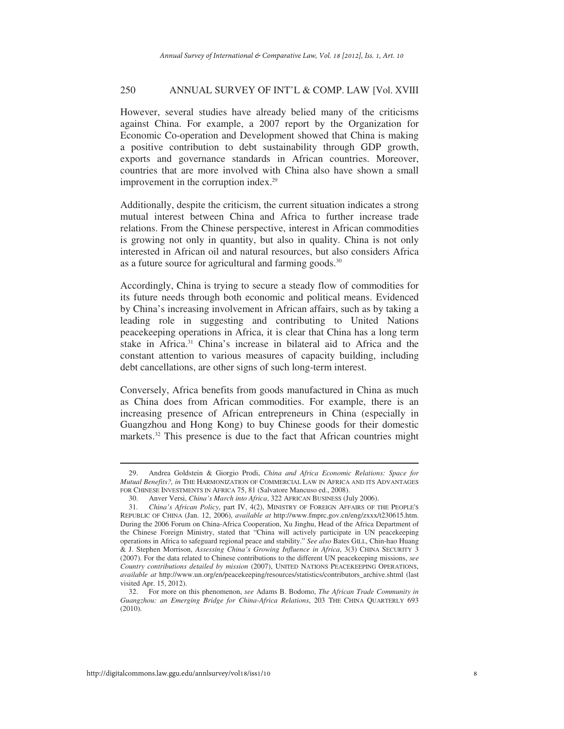However, several studies have already belied many of the criticisms against China. For example, a 2007 report by the Organization for Economic Co-operation and Development showed that China is making a positive contribution to debt sustainability through GDP growth, exports and governance standards in African countries. Moreover, countries that are more involved with China also have shown a small improvement in the corruption index.<sup>29</sup>

Additionally, despite the criticism, the current situation indicates a strong mutual interest between China and Africa to further increase trade relations. From the Chinese perspective, interest in African commodities is growing not only in quantity, but also in quality. China is not only interested in African oil and natural resources, but also considers Africa as a future source for agricultural and farming goods.<sup>30</sup>

Accordingly, China is trying to secure a steady flow of commodities for its future needs through both economic and political means. Evidenced by China's increasing involvement in African affairs, such as by taking a leading role in suggesting and contributing to United Nations peacekeeping operations in Africa, it is clear that China has a long term stake in Africa.31 China's increase in bilateral aid to Africa and the constant attention to various measures of capacity building, including debt cancellations, are other signs of such long-term interest.

Conversely, Africa benefits from goods manufactured in China as much as China does from African commodities. For example, there is an increasing presence of African entrepreneurs in China (especially in Guangzhou and Hong Kong) to buy Chinese goods for their domestic markets.<sup>32</sup> This presence is due to the fact that African countries might

 <sup>29.</sup> Andrea Goldstein & Giorgio Prodi, *China and Africa Economic Relations: Space for Mutual Benefits?, in* THE HARMONIZATION OF COMMERCIAL LAW IN AFRICA AND ITS ADVANTAGES FOR CHINESE INVESTMENTS IN AFRICA 75, 81 (Salvatore Mancuso ed., 2008).

 <sup>30.</sup> Anver Versi, *China's March into Africa*, 322 AFRICAN BUSINESS (July 2006).

 <sup>31</sup>*. China's African Policy*, part IV, 4(2), MINISTRY OF FOREIGN AFFAIRS OF THE PEOPLE'S REPUBLIC OF CHINA (Jan. 12, 2006), *available at* http://www.fmprc.gov.cn/eng/zxxx/t230615.htm. During the 2006 Forum on China-Africa Cooperation, Xu Jinghu, Head of the Africa Department of the Chinese Foreign Ministry, stated that "China will actively participate in UN peacekeeping operations in Africa to safeguard regional peace and stability." *See also* Bates GILL, Chin-hao Huang & J. Stephen Morrison, *Assessing China's Growing Influence in Africa*, 3(3) CHINA SECURITY 3 (2007). For the data related to Chinese contributions to the different UN peacekeeping missions, *see Country contributions detailed by mission* (2007), UNITED NATIONS PEACEKEEPING OPERATIONS, *available at* http://www.un.org/en/peacekeeping/resources/statistics/contributors\_archive.shtml (last visited Apr. 15, 2012).

 <sup>32.</sup> For more on this phenomenon, *see* Adams B. Bodomo, *The African Trade Community in Guangzhou: an Emerging Bridge for China-Africa Relations*, 203 THE CHINA QUARTERLY 693 (2010).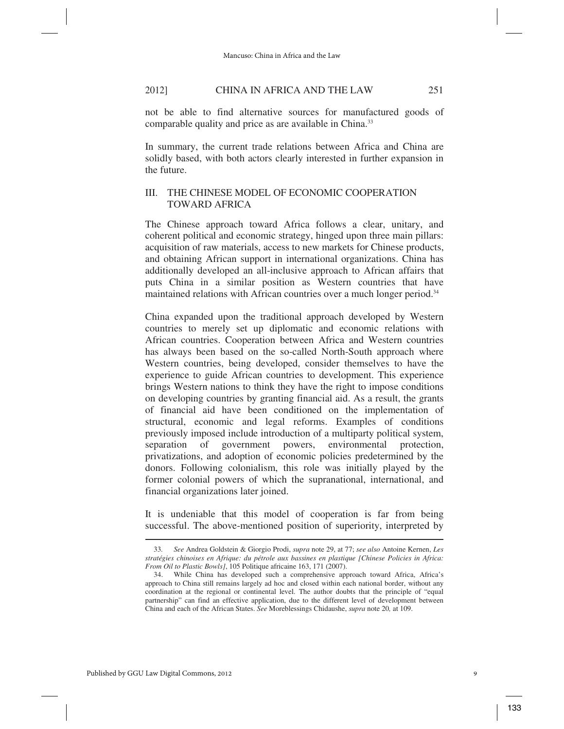not be able to find alternative sources for manufactured goods of comparable quality and price as are available in China.<sup>33</sup>

In summary, the current trade relations between Africa and China are solidly based, with both actors clearly interested in further expansion in the future.

# III. THE CHINESE MODEL OF ECONOMIC COOPERATION TOWARD AFRICA

The Chinese approach toward Africa follows a clear, unitary, and coherent political and economic strategy, hinged upon three main pillars: acquisition of raw materials, access to new markets for Chinese products, and obtaining African support in international organizations. China has additionally developed an all-inclusive approach to African affairs that puts China in a similar position as Western countries that have maintained relations with African countries over a much longer period.<sup>34</sup>

China expanded upon the traditional approach developed by Western countries to merely set up diplomatic and economic relations with African countries. Cooperation between Africa and Western countries has always been based on the so-called North-South approach where Western countries, being developed, consider themselves to have the experience to guide African countries to development. This experience brings Western nations to think they have the right to impose conditions on developing countries by granting financial aid. As a result, the grants of financial aid have been conditioned on the implementation of structural, economic and legal reforms. Examples of conditions previously imposed include introduction of a multiparty political system, separation of government powers, environmental protection, privatizations, and adoption of economic policies predetermined by the donors. Following colonialism, this role was initially played by the former colonial powers of which the supranational, international, and financial organizations later joined.

It is undeniable that this model of cooperation is far from being successful. The above-mentioned position of superiority, interpreted by l

 <sup>33</sup>*. See* Andrea Goldstein & Giorgio Prodi, *supra* note 29, at 77; *see also* Antoine Kernen, *Les stratégies chinoises en Afrique: du pétrole aux bassines en plastique [Chinese Policies in Africa: From Oil to Plastic Bowls]*, 105 Politique africaine 163, 171 (2007).

 <sup>34.</sup> While China has developed such a comprehensive approach toward Africa, Africa's approach to China still remains largely ad hoc and closed within each national border, without any coordination at the regional or continental level. The author doubts that the principle of "equal partnership" can find an effective application, due to the different level of development between China and each of the African States. *See* Moreblessings Chidaushe, *supra* note 20*,* at 109.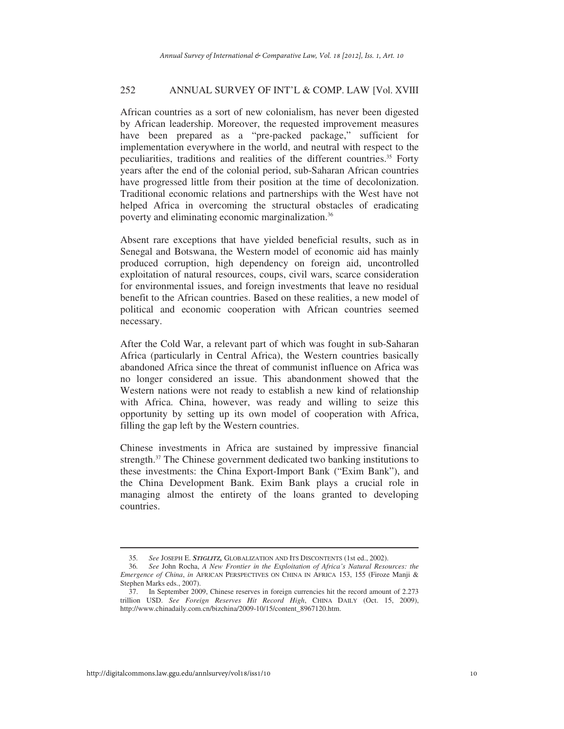African countries as a sort of new colonialism, has never been digested by African leadership. Moreover, the requested improvement measures have been prepared as a "pre-packed package," sufficient for implementation everywhere in the world, and neutral with respect to the peculiarities, traditions and realities of the different countries.<sup>35</sup> Forty years after the end of the colonial period, sub-Saharan African countries have progressed little from their position at the time of decolonization. Traditional economic relations and partnerships with the West have not helped Africa in overcoming the structural obstacles of eradicating poverty and eliminating economic marginalization.36

Absent rare exceptions that have yielded beneficial results, such as in Senegal and Botswana, the Western model of economic aid has mainly produced corruption, high dependency on foreign aid, uncontrolled exploitation of natural resources, coups, civil wars, scarce consideration for environmental issues, and foreign investments that leave no residual benefit to the African countries. Based on these realities, a new model of political and economic cooperation with African countries seemed necessary.

After the Cold War, a relevant part of which was fought in sub-Saharan Africa (particularly in Central Africa), the Western countries basically abandoned Africa since the threat of communist influence on Africa was no longer considered an issue. This abandonment showed that the Western nations were not ready to establish a new kind of relationship with Africa. China, however, was ready and willing to seize this opportunity by setting up its own model of cooperation with Africa, filling the gap left by the Western countries.

Chinese investments in Africa are sustained by impressive financial strength.<sup>37</sup> The Chinese government dedicated two banking institutions to these investments: the China Export-Import Bank ("Exim Bank"), and the China Development Bank. Exim Bank plays a crucial role in managing almost the entirety of the loans granted to developing countries.

 <sup>35</sup>*. See* JOSEPH E. *STIGLITZ,* GLOBALIZATION AND ITS DISCONTENTS (1st ed., 2002).

 <sup>36</sup>*. See* John Rocha, *A New Frontier in the Exploitation of Africa's Natural Resources: the Emergence of China*, *in* AFRICAN PERSPECTIVES ON CHINA IN AFRICA 153, 155 (Firoze Manji & Stephen Marks eds., 2007).

 <sup>37.</sup> In September 2009, Chinese reserves in foreign currencies hit the record amount of 2.273 trillion USD. *See Foreign Reserves Hit Record High*, CHINA DAILY (Oct. 15, 2009), http://www.chinadaily.com.cn/bizchina/2009-10/15/content\_8967120.htm.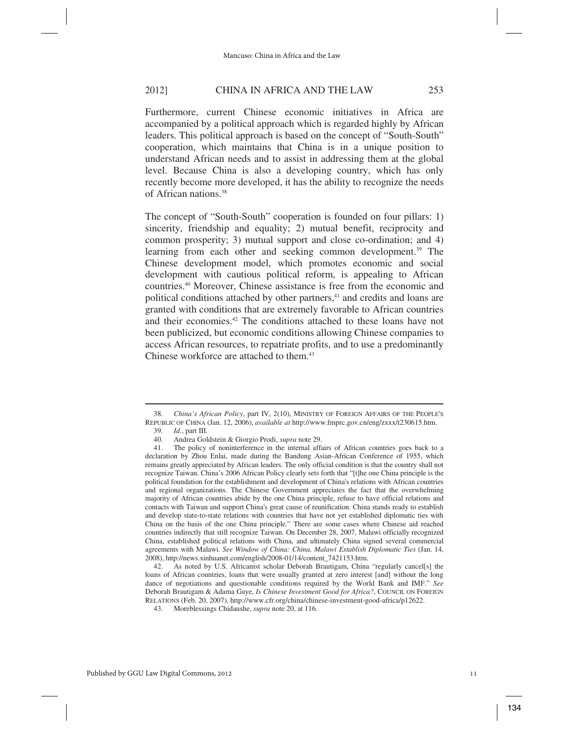Furthermore, current Chinese economic initiatives in Africa are accompanied by a political approach which is regarded highly by African leaders. This political approach is based on the concept of "South-South" cooperation, which maintains that China is in a unique position to understand African needs and to assist in addressing them at the global level. Because China is also a developing country, which has only recently become more developed, it has the ability to recognize the needs of African nations.38

The concept of "South-South" cooperation is founded on four pillars: 1) sincerity, friendship and equality; 2) mutual benefit, reciprocity and common prosperity; 3) mutual support and close co-ordination; and 4) learning from each other and seeking common development.<sup>39</sup> The Chinese development model, which promotes economic and social development with cautious political reform, is appealing to African countries.40 Moreover, Chinese assistance is free from the economic and political conditions attached by other partners,<sup>41</sup> and credits and loans are granted with conditions that are extremely favorable to African countries and their economies.42 The conditions attached to these loans have not been publicized, but economic conditions allowing Chinese companies to access African resources, to repatriate profits, and to use a predominantly Chinese workforce are attached to them.<sup>43</sup>

 <sup>38</sup>*. China's African Policy*, part IV, 2(10), MINISTRY OF FOREIGN AFFAIRS OF THE PEOPLE'S REPUBLIC OF CHINA (Jan. 12, 2006), *available at* http://www.fmprc.gov.cn/eng/zxxx/t230615.htm.

 <sup>39</sup>*. Id.*, part III.

 <sup>40.</sup> Andrea Goldstein & Giorgio Prodi, *supra* note 29.

 <sup>41.</sup> The policy of noninterference in the internal affairs of African countries goes back to a declaration by Zhou Enlai, made during the Bandung Asian-African Conference of 1955, which remains greatly appreciated by African leaders. The only official condition is that the country shall not recognize Taiwan. China's 2006 African Policy clearly sets forth that "[t]he one China principle is the political foundation for the establishment and development of China's relations with African countries and regional organizations. The Chinese Government appreciates the fact that the overwhelming majority of African countries abide by the one China principle, refuse to have official relations and contacts with Taiwan and support China's great cause of reunification. China stands ready to establish and develop state-to-state relations with countries that have not yet established diplomatic ties with China on the basis of the one China principle." There are some cases where Chinese aid reached countries indirectly that still recognize Taiwan. On December 28, 2007, Malawi officially recognized China, established political relations with China, and ultimately China signed several commercial agreements with Malawi. *See Window of China: China, Malawi Establish Diplomatic Ties* (Jan. 14, 2008), http://news.xinhuanet.com/english/2008-01/14/content\_7421153.htm.

 <sup>42.</sup> As noted by U.S. Africanist scholar Deborah Brautigam, China "regularly cancel[s] the loans of African countries, loans that were usually granted at zero interest [and] without the long dance of negotiations and questionable conditions required by the World Bank and IMF." *See* Deborah Brautigam & Adama Gaye, *Is Chinese Investment Good for Africa?*, COUNCIL ON FOREIGN RELATIONS (Feb. 20, 2007), http://www.cfr.org/china/chinese-investment-good-africa/p12622.

 <sup>43.</sup> Moreblessings Chidaushe, *supra* note 20, at 116.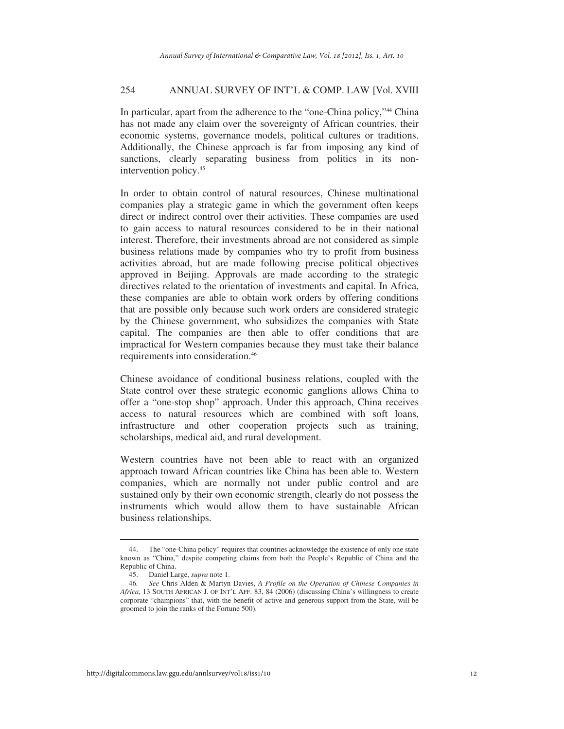In particular, apart from the adherence to the "one-China policy,"<sup>44</sup> China has not made any claim over the sovereignty of African countries, their economic systems, governance models, political cultures or traditions. Additionally, the Chinese approach is far from imposing any kind of sanctions, clearly separating business from politics in its nonintervention policy.45

In order to obtain control of natural resources, Chinese multinational companies play a strategic game in which the government often keeps direct or indirect control over their activities. These companies are used to gain access to natural resources considered to be in their national interest. Therefore, their investments abroad are not considered as simple business relations made by companies who try to profit from business activities abroad, but are made following precise political objectives approved in Beijing. Approvals are made according to the strategic directives related to the orientation of investments and capital. In Africa, these companies are able to obtain work orders by offering conditions that are possible only because such work orders are considered strategic by the Chinese government, who subsidizes the companies with State capital. The companies are then able to offer conditions that are impractical for Western companies because they must take their balance requirements into consideration.46

Chinese avoidance of conditional business relations, coupled with the State control over these strategic economic ganglions allows China to offer a "one-stop shop" approach. Under this approach, China receives access to natural resources which are combined with soft loans, infrastructure and other cooperation projects such as training, scholarships, medical aid, and rural development.

Western countries have not been able to react with an organized approach toward African countries like China has been able to. Western companies, which are normally not under public control and are sustained only by their own economic strength, clearly do not possess the instruments which would allow them to have sustainable African business relationships.

 <sup>44.</sup> The "one-China policy" requires that countries acknowledge the existence of only one state known as "China," despite competing claims from both the People's Republic of China and the Republic of China.

 <sup>45.</sup> Daniel Large, *supra* note 1.

 <sup>46</sup>*. See* Chris Alden & Martyn Davies, *A Profile on the Operation of Chinese Companies in Africa*, 13 SOUTH AFRICAN J. OF INT'L AFF. 83, 84 (2006) (discussing China's willingness to create corporate "champions" that, with the benefit of active and generous support from the State, will be groomed to join the ranks of the Fortune 500).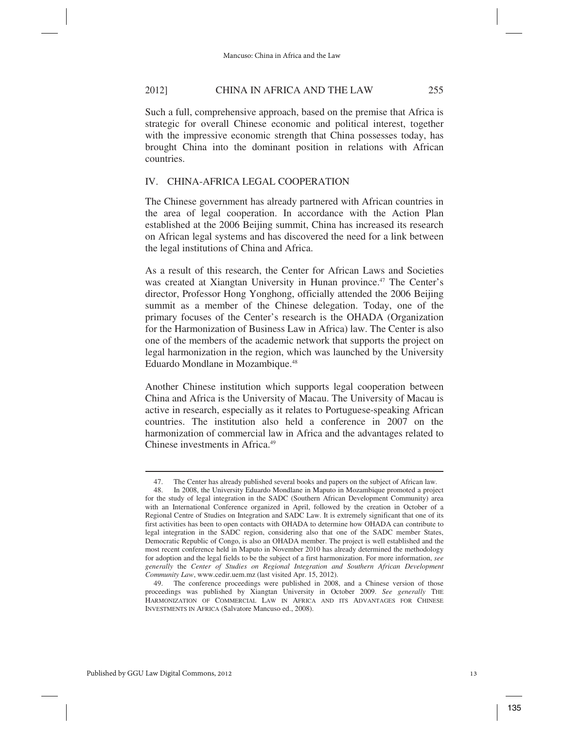Such a full, comprehensive approach, based on the premise that Africa is strategic for overall Chinese economic and political interest, together with the impressive economic strength that China possesses today, has brought China into the dominant position in relations with African countries.

# IV. CHINA-AFRICA LEGAL COOPERATION

The Chinese government has already partnered with African countries in the area of legal cooperation. In accordance with the Action Plan established at the 2006 Beijing summit, China has increased its research on African legal systems and has discovered the need for a link between the legal institutions of China and Africa.

As a result of this research, the Center for African Laws and Societies was created at Xiangtan University in Hunan province.<sup>47</sup> The Center's director, Professor Hong Yonghong, officially attended the 2006 Beijing summit as a member of the Chinese delegation. Today, one of the primary focuses of the Center's research is the OHADA (Organization for the Harmonization of Business Law in Africa) law. The Center is also one of the members of the academic network that supports the project on legal harmonization in the region, which was launched by the University Eduardo Mondlane in Mozambique.<sup>48</sup>

Another Chinese institution which supports legal cooperation between China and Africa is the University of Macau. The University of Macau is active in research, especially as it relates to Portuguese-speaking African countries. The institution also held a conference in 2007 on the harmonization of commercial law in Africa and the advantages related to Chinese investments in Africa.<sup>49</sup>

 <sup>47.</sup> The Center has already published several books and papers on the subject of African law.

 <sup>48.</sup> In 2008, the University Eduardo Mondlane in Maputo in Mozambique promoted a project for the study of legal integration in the SADC (Southern African Development Community) area with an International Conference organized in April, followed by the creation in October of a Regional Centre of Studies on Integration and SADC Law. It is extremely significant that one of its first activities has been to open contacts with OHADA to determine how OHADA can contribute to legal integration in the SADC region, considering also that one of the SADC member States, Democratic Republic of Congo, is also an OHADA member. The project is well established and the most recent conference held in Maputo in November 2010 has already determined the methodology for adoption and the legal fields to be the subject of a first harmonization. For more information, *see generally* the *Center of Studies on Regional Integration and Southern African Development Community Law*, www.cedir.uem.mz (last visited Apr. 15, 2012).

 <sup>49.</sup> The conference proceedings were published in 2008, and a Chinese version of those proceedings was published by Xiangtan University in October 2009. *See generally* THE HARMONIZATION OF COMMERCIAL LAW IN AFRICA AND ITS ADVANTAGES FOR CHINESE INVESTMENTS IN AFRICA (Salvatore Mancuso ed., 2008).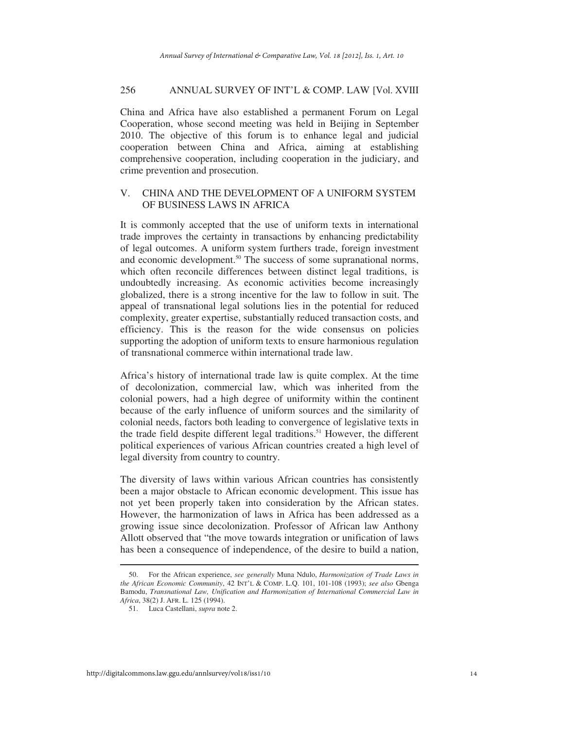China and Africa have also established a permanent Forum on Legal Cooperation, whose second meeting was held in Beijing in September 2010. The objective of this forum is to enhance legal and judicial cooperation between China and Africa, aiming at establishing comprehensive cooperation, including cooperation in the judiciary, and crime prevention and prosecution.

# V. CHINA AND THE DEVELOPMENT OF A UNIFORM SYSTEM OF BUSINESS LAWS IN AFRICA

It is commonly accepted that the use of uniform texts in international trade improves the certainty in transactions by enhancing predictability of legal outcomes. A uniform system furthers trade, foreign investment and economic development.<sup>50</sup> The success of some supranational norms, which often reconcile differences between distinct legal traditions, is undoubtedly increasing. As economic activities become increasingly globalized, there is a strong incentive for the law to follow in suit. The appeal of transnational legal solutions lies in the potential for reduced complexity, greater expertise, substantially reduced transaction costs, and efficiency. This is the reason for the wide consensus on policies supporting the adoption of uniform texts to ensure harmonious regulation of transnational commerce within international trade law.

Africa's history of international trade law is quite complex. At the time of decolonization, commercial law, which was inherited from the colonial powers, had a high degree of uniformity within the continent because of the early influence of uniform sources and the similarity of colonial needs, factors both leading to convergence of legislative texts in the trade field despite different legal traditions.<sup>51</sup> However, the different political experiences of various African countries created a high level of legal diversity from country to country.

The diversity of laws within various African countries has consistently been a major obstacle to African economic development. This issue has not yet been properly taken into consideration by the African states. However, the harmonization of laws in Africa has been addressed as a growing issue since decolonization. Professor of African law Anthony Allott observed that "the move towards integration or unification of laws has been a consequence of independence, of the desire to build a nation,  $\overline{a}$ 

 <sup>50.</sup> For the African experience, *see generally* Muna Ndulo, *Harmonization of Trade Laws in the African Economic Community*, 42 INT'L & COMP. L.Q. 101, 101-108 (1993); *see also* Gbenga Bamodu, *Transnational Law, Unification and Harmonization of International Commercial Law in Africa*, 38(2) J. AFR. L. 125 (1994).

 <sup>51.</sup> Luca Castellani, *supra* note 2.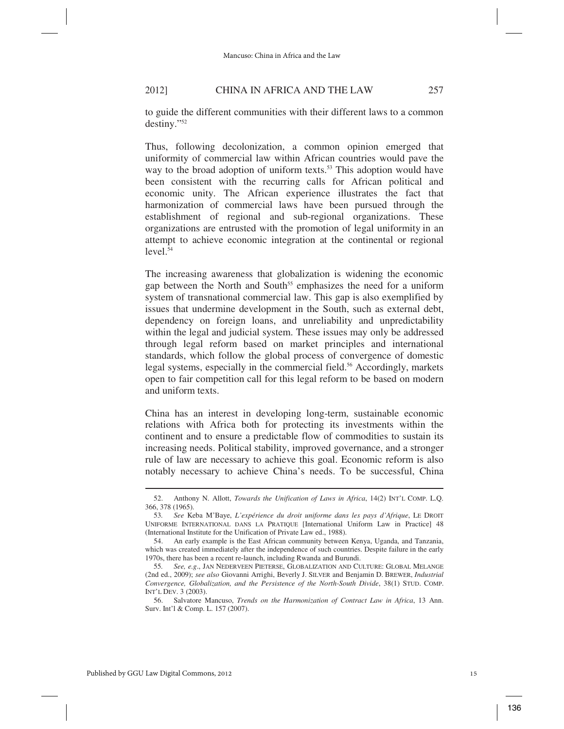to guide the different communities with their different laws to a common destiny."52

Thus, following decolonization, a common opinion emerged that uniformity of commercial law within African countries would pave the way to the broad adoption of uniform texts.<sup>53</sup> This adoption would have been consistent with the recurring calls for African political and economic unity. The African experience illustrates the fact that harmonization of commercial laws have been pursued through the establishment of regional and sub-regional organizations. These organizations are entrusted with the promotion of legal uniformity in an attempt to achieve economic integration at the continental or regional  $level.<sup>54</sup>$ 

The increasing awareness that globalization is widening the economic gap between the North and South<sup>55</sup> emphasizes the need for a uniform system of transnational commercial law. This gap is also exemplified by issues that undermine development in the South, such as external debt, dependency on foreign loans, and unreliability and unpredictability within the legal and judicial system. These issues may only be addressed through legal reform based on market principles and international standards, which follow the global process of convergence of domestic legal systems, especially in the commercial field.<sup>56</sup> Accordingly, markets open to fair competition call for this legal reform to be based on modern and uniform texts.

China has an interest in developing long-term, sustainable economic relations with Africa both for protecting its investments within the continent and to ensure a predictable flow of commodities to sustain its increasing needs. Political stability, improved governance, and a stronger rule of law are necessary to achieve this goal. Economic reform is also notably necessary to achieve China's needs. To be successful, China

 <sup>52.</sup> Anthony N. Allott, *Towards the Unification of Laws in Africa*, 14(2) INT'L COMP. L.Q. 366, 378 (1965).

 <sup>53</sup>*. See* Keba M'Baye, *L'expérience du droit uniforme dans les pays d'Afrique*, LE DROIT UNIFORME INTERNATIONAL DANS LA PRATIQUE [International Uniform Law in Practice] 48 (International Institute for the Unification of Private Law ed., 1988).

 <sup>54.</sup> An early example is the East African community between Kenya, Uganda, and Tanzania, which was created immediately after the independence of such countries. Despite failure in the early 1970s, there has been a recent re-launch, including Rwanda and Burundi.

<sup>55</sup>*. See, e.g*., JAN NEDERVEEN PIETERSE, GLOBALIZATION AND CULTURE: GLOBAL MELANGE (2nd ed., 2009); *see also* Giovanni Arrighi, Beverly J. SILVER and Benjamin D. BREWER, *Industrial Convergence, Globalization, and the Persistence of the North-South Divide*, 38(1) STUD. COMP. INT'L DEV. 3 (2003).

 <sup>56.</sup> Salvatore Mancuso, *Trends on the Harmonization of Contract Law in Africa*, 13 Ann. Surv. Int'l & Comp. L. 157 (2007).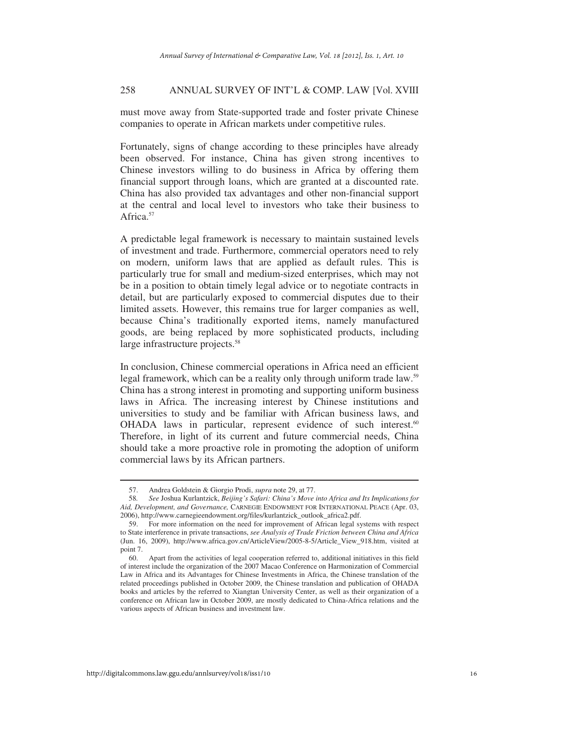must move away from State-supported trade and foster private Chinese companies to operate in African markets under competitive rules.

Fortunately, signs of change according to these principles have already been observed. For instance, China has given strong incentives to Chinese investors willing to do business in Africa by offering them financial support through loans, which are granted at a discounted rate. China has also provided tax advantages and other non-financial support at the central and local level to investors who take their business to Africa<sup>57</sup>

A predictable legal framework is necessary to maintain sustained levels of investment and trade. Furthermore, commercial operators need to rely on modern, uniform laws that are applied as default rules. This is particularly true for small and medium-sized enterprises, which may not be in a position to obtain timely legal advice or to negotiate contracts in detail, but are particularly exposed to commercial disputes due to their limited assets. However, this remains true for larger companies as well, because China's traditionally exported items, namely manufactured goods, are being replaced by more sophisticated products, including large infrastructure projects.<sup>58</sup>

In conclusion, Chinese commercial operations in Africa need an efficient legal framework, which can be a reality only through uniform trade law.<sup>59</sup> China has a strong interest in promoting and supporting uniform business laws in Africa. The increasing interest by Chinese institutions and universities to study and be familiar with African business laws, and OHADA laws in particular, represent evidence of such interest.<sup>60</sup> Therefore, in light of its current and future commercial needs, China should take a more proactive role in promoting the adoption of uniform commercial laws by its African partners.

 <sup>57.</sup> Andrea Goldstein & Giorgio Prodi, *supra* note 29, at 77.

 <sup>58</sup>*. See* Joshua Kurlantzick, *Beijing's Safari: China's Move into Africa and Its Implications for Aid, Development, and Governance,* CARNEGIE ENDOWMENT FOR INTERNATIONAL PEACE (Apr. 03, 2006), http://www.carnegieendowment.org/files/kurlantzick\_outlook\_africa2.pdf.

 <sup>59.</sup> For more information on the need for improvement of African legal systems with respect to State interference in private transactions, *see Analysis of Trade Friction between China and Africa* (Jun. 16, 2009), http://www.africa.gov.cn/ArticleView/2005-8-5/Article\_View\_918.htm, visited at point 7.

 <sup>60.</sup> Apart from the activities of legal cooperation referred to, additional initiatives in this field of interest include the organization of the 2007 Macao Conference on Harmonization of Commercial Law in Africa and its Advantages for Chinese Investments in Africa, the Chinese translation of the related proceedings published in October 2009, the Chinese translation and publication of OHADA books and articles by the referred to Xiangtan University Center, as well as their organization of a conference on African law in October 2009, are mostly dedicated to China-Africa relations and the various aspects of African business and investment law.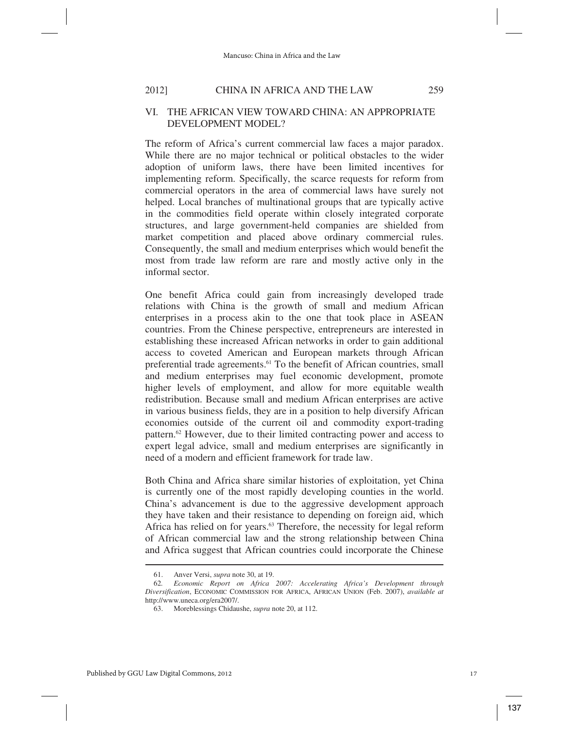#### VI. THE AFRICAN VIEW TOWARD CHINA: AN APPROPRIATE DEVELOPMENT MODEL?

The reform of Africa's current commercial law faces a major paradox. While there are no major technical or political obstacles to the wider adoption of uniform laws, there have been limited incentives for implementing reform. Specifically, the scarce requests for reform from commercial operators in the area of commercial laws have surely not helped. Local branches of multinational groups that are typically active in the commodities field operate within closely integrated corporate structures, and large government-held companies are shielded from market competition and placed above ordinary commercial rules. Consequently, the small and medium enterprises which would benefit the most from trade law reform are rare and mostly active only in the informal sector.

One benefit Africa could gain from increasingly developed trade relations with China is the growth of small and medium African enterprises in a process akin to the one that took place in ASEAN countries. From the Chinese perspective, entrepreneurs are interested in establishing these increased African networks in order to gain additional access to coveted American and European markets through African preferential trade agreements.<sup>61</sup> To the benefit of African countries, small and medium enterprises may fuel economic development, promote higher levels of employment, and allow for more equitable wealth redistribution. Because small and medium African enterprises are active in various business fields, they are in a position to help diversify African economies outside of the current oil and commodity export-trading pattern.62 However, due to their limited contracting power and access to expert legal advice, small and medium enterprises are significantly in need of a modern and efficient framework for trade law.

Both China and Africa share similar histories of exploitation, yet China is currently one of the most rapidly developing counties in the world. China's advancement is due to the aggressive development approach they have taken and their resistance to depending on foreign aid, which Africa has relied on for years.<sup>63</sup> Therefore, the necessity for legal reform of African commercial law and the strong relationship between China and Africa suggest that African countries could incorporate the Chinese  $\overline{a}$ 

 <sup>61.</sup> Anver Versi, *supra* note 30, at 19.

 <sup>62</sup>*. Economic Report on Africa 2007: Accelerating Africa's Development through Diversification*, ECONOMIC COMMISSION FOR AFRICA, AFRICAN UNION (Feb. 2007), *available at* http://www.uneca.org/era2007/.

 <sup>63.</sup> Moreblessings Chidaushe, *supra* note 20, at 112.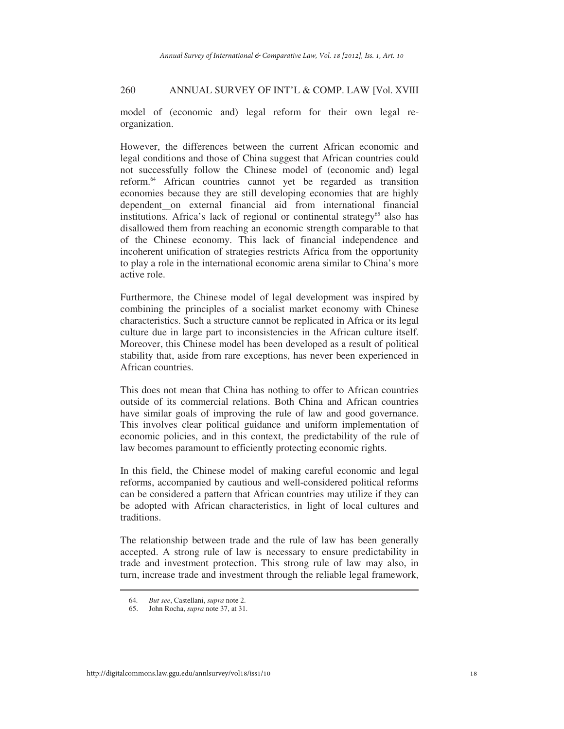model of (economic and) legal reform for their own legal reorganization.

However, the differences between the current African economic and legal conditions and those of China suggest that African countries could not successfully follow the Chinese model of (economic and) legal reform.64 African countries cannot yet be regarded as transition economies because they are still developing economies that are highly dependent on external financial aid from international financial institutions. Africa's lack of regional or continental strategy<sup>65</sup> also has disallowed them from reaching an economic strength comparable to that of the Chinese economy. This lack of financial independence and incoherent unification of strategies restricts Africa from the opportunity to play a role in the international economic arena similar to China's more active role.

Furthermore, the Chinese model of legal development was inspired by combining the principles of a socialist market economy with Chinese characteristics. Such a structure cannot be replicated in Africa or its legal culture due in large part to inconsistencies in the African culture itself. Moreover, this Chinese model has been developed as a result of political stability that, aside from rare exceptions, has never been experienced in African countries.

This does not mean that China has nothing to offer to African countries outside of its commercial relations. Both China and African countries have similar goals of improving the rule of law and good governance. This involves clear political guidance and uniform implementation of economic policies, and in this context, the predictability of the rule of law becomes paramount to efficiently protecting economic rights.

In this field, the Chinese model of making careful economic and legal reforms, accompanied by cautious and well-considered political reforms can be considered a pattern that African countries may utilize if they can be adopted with African characteristics, in light of local cultures and traditions.

The relationship between trade and the rule of law has been generally accepted. A strong rule of law is necessary to ensure predictability in trade and investment protection. This strong rule of law may also, in turn, increase trade and investment through the reliable legal framework,

 <sup>64</sup>*. But see*, Castellani, *supra* note 2.

 <sup>65.</sup> John Rocha, *supra* note 37, at 31.